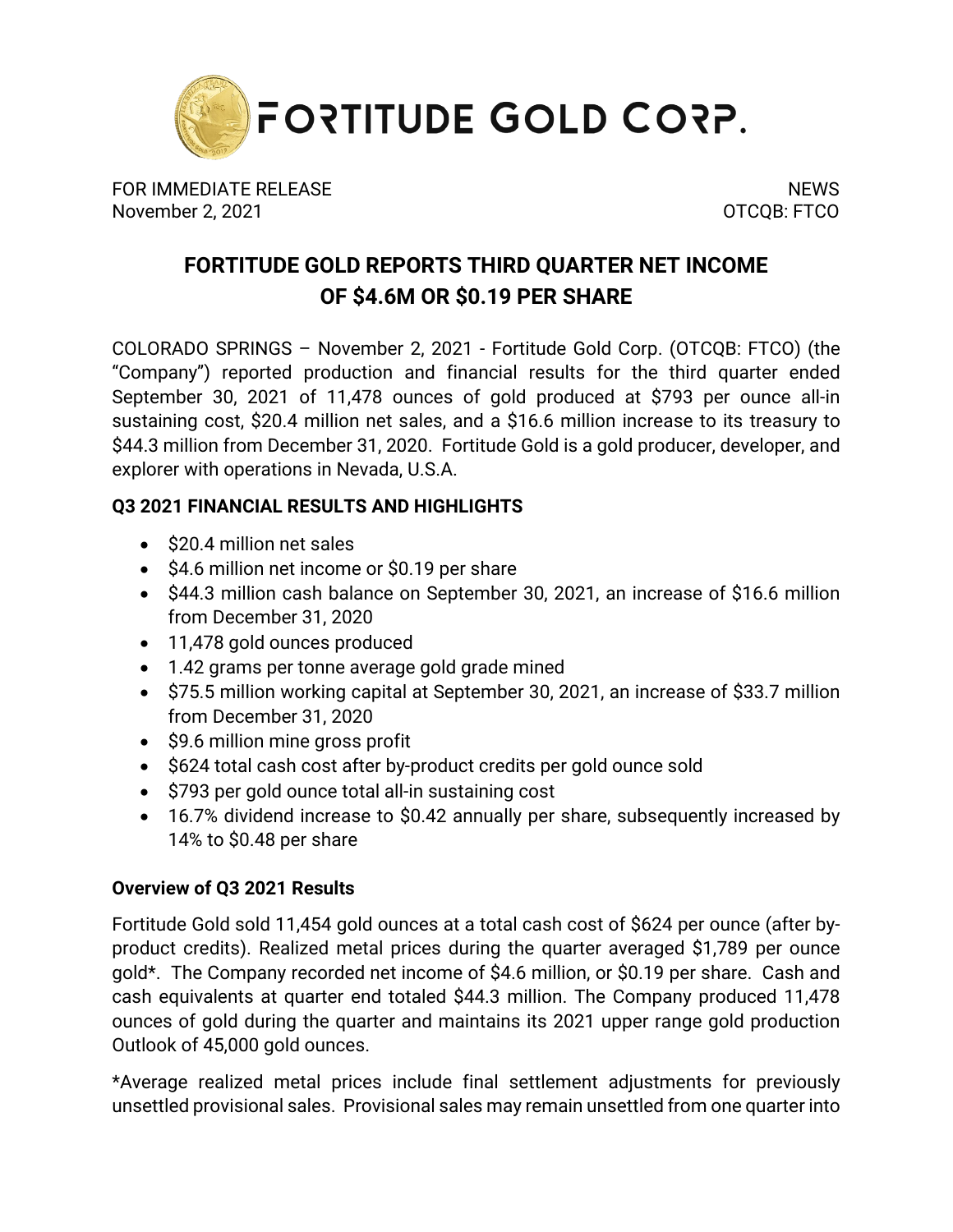

FOR IMMEDIATE RELEASE NEWS AND THE SERVICE OF STREET AND THE SERVICE OF STREET AND THE SERVICE OF STREET AND T November 2, 2021 **OTCQB: FTCO** 

# **FORTITUDE GOLD REPORTS THIRD QUARTER NET INCOME OF \$4.6M OR \$0.19 PER SHARE**

COLORADO SPRINGS – November 2, 2021 - Fortitude Gold Corp. (OTCQB: FTCO) (the "Company") reported production and financial results for the third quarter ended September 30, 2021 of 11,478 ounces of gold produced at \$793 per ounce all-in sustaining cost, \$20.4 million net sales, and a \$16.6 million increase to its treasury to \$44.3 million from December 31, 2020. Fortitude Gold is a gold producer, developer, and explorer with operations in Nevada, U.S.A.

## **Q3 2021 FINANCIAL RESULTS AND HIGHLIGHTS**

- \$20.4 million net sales
- \$4.6 million net income or \$0.19 per share
- \$44.3 million cash balance on September 30, 2021, an increase of \$16.6 million from December 31, 2020
- 11,478 gold ounces produced
- 1.42 grams per tonne average gold grade mined
- \$75.5 million working capital at September 30, 2021, an increase of \$33.7 million from December 31, 2020
- \$9.6 million mine gross profit
- \$624 total cash cost after by-product credits per gold ounce sold
- \$793 per gold ounce total all-in sustaining cost
- 16.7% dividend increase to \$0.42 annually per share, subsequently increased by 14% to \$0.48 per share

## **Overview of Q3 2021 Results**

Fortitude Gold sold 11,454 gold ounces at a total cash cost of \$624 per ounce (after byproduct credits). Realized metal prices during the quarter averaged \$1,789 per ounce gold\*. The Company recorded net income of \$4.6 million, or \$0.19 per share. Cash and cash equivalents at quarter end totaled \$44.3 million. The Company produced 11,478 ounces of gold during the quarter and maintains its 2021 upper range gold production Outlook of 45,000 gold ounces.

\*Average realized metal prices include final settlement adjustments for previously unsettled provisional sales. Provisional sales may remain unsettled from one quarter into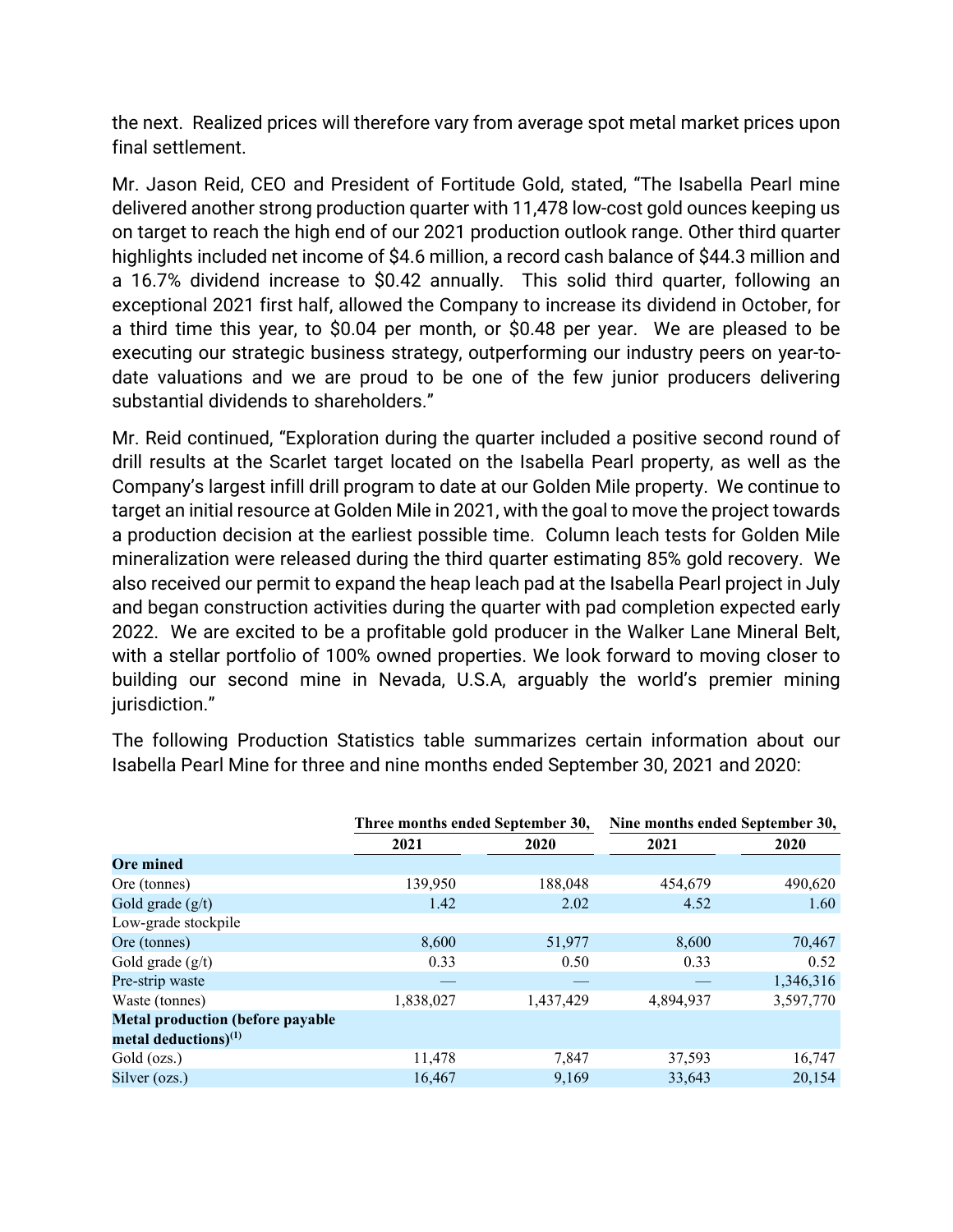the next. Realized prices will therefore vary from average spot metal market prices upon final settlement.

Mr. Jason Reid, CEO and President of Fortitude Gold, stated, "The Isabella Pearl mine delivered another strong production quarter with 11,478 low-cost gold ounces keeping us on target to reach the high end of our 2021 production outlook range. Other third quarter highlights included net income of \$4.6 million, a record cash balance of \$44.3 million and a 16.7% dividend increase to \$0.42 annually. This solid third quarter, following an exceptional 2021 first half, allowed the Company to increase its dividend in October, for a third time this year, to \$0.04 per month, or \$0.48 per year. We are pleased to be executing our strategic business strategy, outperforming our industry peers on year-todate valuations and we are proud to be one of the few junior producers delivering substantial dividends to shareholders."

Mr. Reid continued, "Exploration during the quarter included a positive second round of drill results at the Scarlet target located on the Isabella Pearl property, as well as the Company's largest infill drill program to date at our Golden Mile property. We continue to target an initial resource at Golden Mile in 2021, with the goal to move the project towards a production decision at the earliest possible time. Column leach tests for Golden Mile mineralization were released during the third quarter estimating 85% gold recovery. We also received our permit to expand the heap leach pad at the Isabella Pearl project in July and began construction activities during the quarter with pad completion expected early 2022. We are excited to be a profitable gold producer in the Walker Lane Mineral Belt, with a stellar portfolio of 100% owned properties. We look forward to moving closer to building our second mine in Nevada, U.S.A, arguably the world's premier mining iurisdiction."

The following Production Statistics table summarizes certain information about our Isabella Pearl Mine for three and nine months ended September 30, 2021 and 2020:

|                                         | Three months ended September 30, |           | Nine months ended September 30, |           |  |  |  |
|-----------------------------------------|----------------------------------|-----------|---------------------------------|-----------|--|--|--|
|                                         | 2021<br>2020<br>2021             |           |                                 | 2020      |  |  |  |
| <b>Ore mined</b>                        |                                  |           |                                 |           |  |  |  |
| Ore (tonnes)                            | 139,950                          | 188,048   | 454,679                         | 490,620   |  |  |  |
| Gold grade $(g/t)$                      | 1.42                             | 2.02      | 4.52                            | 1.60      |  |  |  |
| Low-grade stockpile                     |                                  |           |                                 |           |  |  |  |
| Ore (tonnes)                            | 8,600                            | 51,977    | 8,600                           | 70,467    |  |  |  |
| Gold grade $(g/t)$                      | 0.33                             | 0.50      | 0.33                            | 0.52      |  |  |  |
| Pre-strip waste                         |                                  |           |                                 | 1,346,316 |  |  |  |
| Waste (tonnes)                          | 1,838,027                        | 1,437,429 | 4,894,937                       | 3,597,770 |  |  |  |
| <b>Metal production (before payable</b> |                                  |           |                                 |           |  |  |  |
| metal deductions) $^{(1)}$              |                                  |           |                                 |           |  |  |  |
| Gold (ozs.)                             | 11,478                           | 7,847     | 37,593                          | 16,747    |  |  |  |
| Silver (ozs.)                           | 16,467                           | 9,169     | 33,643                          | 20,154    |  |  |  |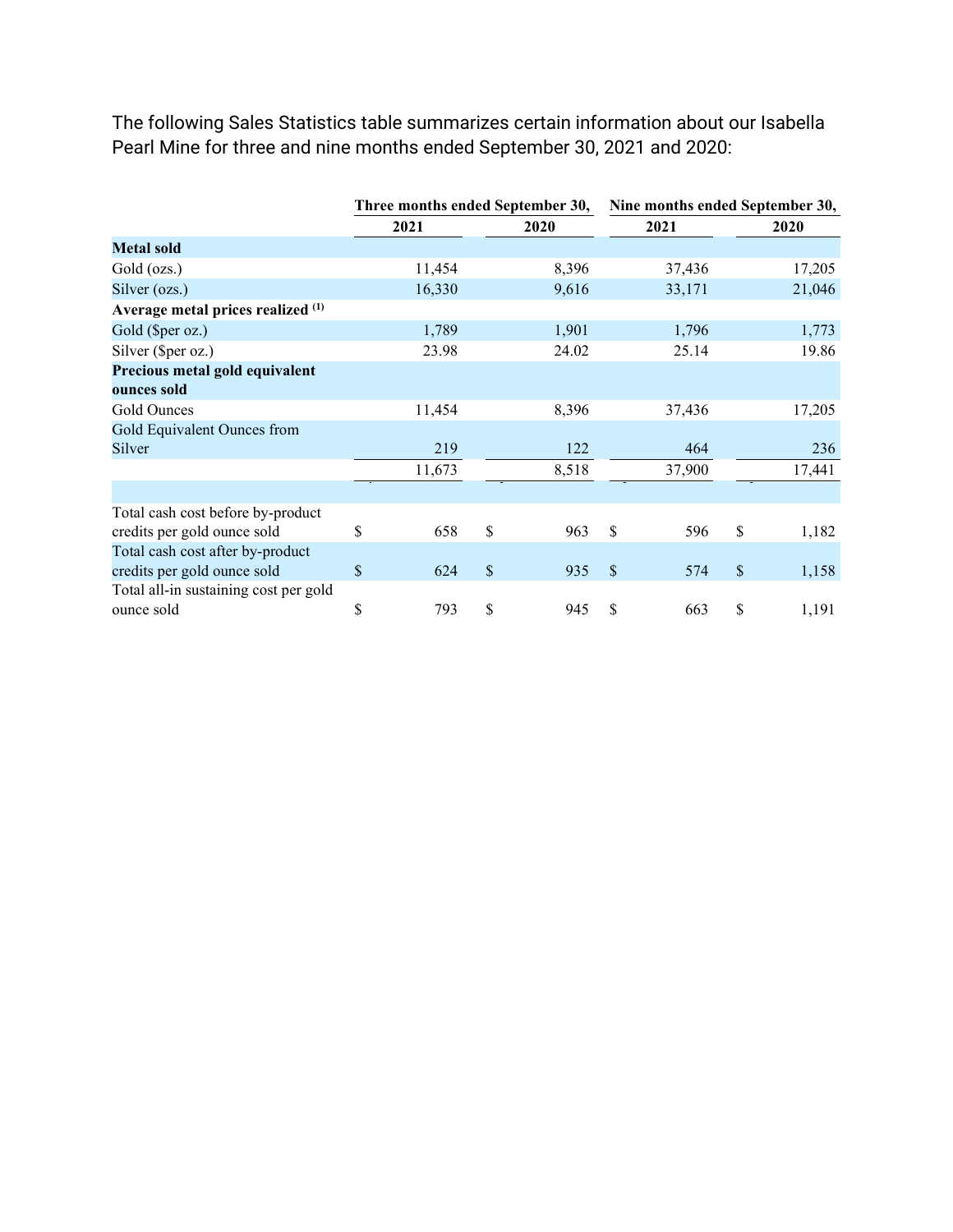The following Sales Statistics table summarizes certain information about our Isabella Pearl Mine for three and nine months ended September 30, 2021 and 2020:

|                                       | Three months ended September 30, |        |    |       |    | Nine months ended September 30, |    |        |  |
|---------------------------------------|----------------------------------|--------|----|-------|----|---------------------------------|----|--------|--|
|                                       |                                  | 2021   |    | 2020  |    | 2021                            |    | 2020   |  |
| <b>Metal sold</b>                     |                                  |        |    |       |    |                                 |    |        |  |
| Gold (ozs.)                           |                                  | 11,454 |    | 8,396 |    | 37,436                          |    | 17,205 |  |
| Silver (ozs.)                         |                                  | 16,330 |    | 9,616 |    | 33,171                          |    | 21,046 |  |
| Average metal prices realized (1)     |                                  |        |    |       |    |                                 |    |        |  |
| Gold (\$per oz.)                      |                                  | 1,789  |    | 1,901 |    | 1,796                           |    | 1,773  |  |
| Silver (\$per oz.)                    |                                  | 23.98  |    | 24.02 |    | 25.14                           |    | 19.86  |  |
| Precious metal gold equivalent        |                                  |        |    |       |    |                                 |    |        |  |
| ounces sold                           |                                  |        |    |       |    |                                 |    |        |  |
| Gold Ounces                           |                                  | 11,454 |    | 8,396 |    | 37,436                          |    | 17,205 |  |
| Gold Equivalent Ounces from           |                                  |        |    |       |    |                                 |    |        |  |
| Silver                                |                                  | 219    |    | 122   |    | 464                             |    | 236    |  |
|                                       |                                  | 11,673 |    | 8,518 |    | 37,900                          |    | 17,441 |  |
|                                       |                                  |        |    |       |    |                                 |    |        |  |
| Total cash cost before by-product     |                                  |        |    |       |    |                                 |    |        |  |
| credits per gold ounce sold           | \$                               | 658    | \$ | 963   | \$ | 596                             | \$ | 1,182  |  |
| Total cash cost after by-product      |                                  |        |    |       |    |                                 |    |        |  |
| credits per gold ounce sold           | \$                               | 624    | \$ | 935   | \$ | 574                             | \$ | 1,158  |  |
| Total all-in sustaining cost per gold |                                  |        |    |       |    |                                 |    |        |  |
| ounce sold                            | \$                               | 793    | \$ | 945   | \$ | 663                             | \$ | 1,191  |  |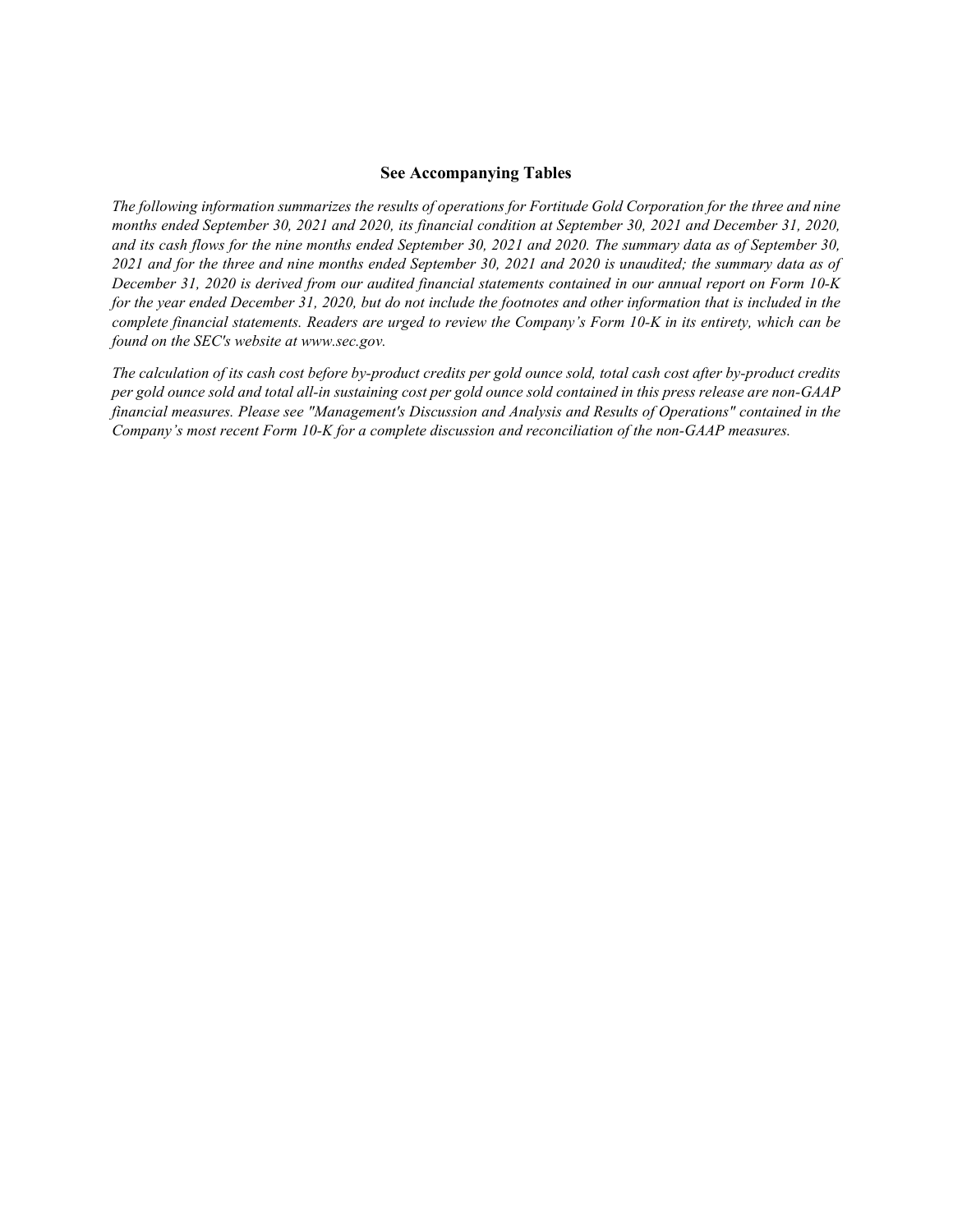#### **See Accompanying Tables**

*The following information summarizes the results of operations for Fortitude Gold Corporation for the three and nine months ended September 30, 2021 and 2020, its financial condition at September 30, 2021 and December 31, 2020, and its cash flows for the nine months ended September 30, 2021 and 2020. The summary data as of September 30, 2021 and for the three and nine months ended September 30, 2021 and 2020 is unaudited; the summary data as of December 31, 2020 is derived from our audited financial statements contained in our annual report on Form 10-K for the year ended December 31, 2020, but do not include the footnotes and other information that is included in the complete financial statements. Readers are urged to review the Company's Form 10-K in its entirety, which can be found on the SEC's website at www.sec.gov.*

*The calculation of its cash cost before by-product credits per gold ounce sold, total cash cost after by-product credits per gold ounce sold and total all-in sustaining cost per gold ounce sold contained in this press release are non-GAAP financial measures. Please see "Management's Discussion and Analysis and Results of Operations" contained in the Company's most recent Form 10-K for a complete discussion and reconciliation of the non-GAAP measures.*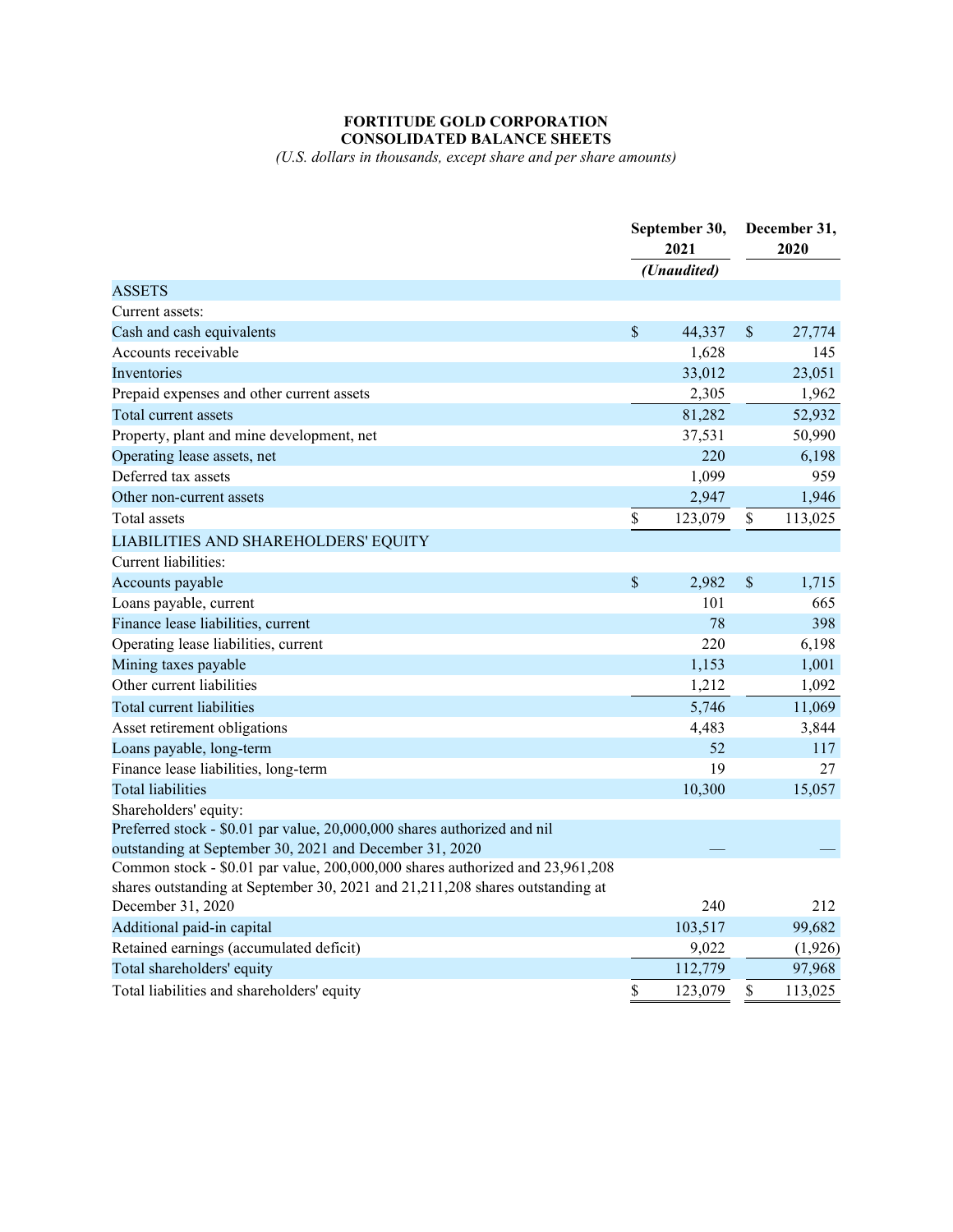#### **FORTITUDE GOLD CORPORATION CONSOLIDATED BALANCE SHEETS**

*(U.S. dollars in thousands, except share and per share amounts)*

|                                                                                 |                    | September 30,<br>2021 |    | December 31,<br>2020 |  |
|---------------------------------------------------------------------------------|--------------------|-----------------------|----|----------------------|--|
|                                                                                 |                    | (Unaudited)           |    |                      |  |
| <b>ASSETS</b>                                                                   |                    |                       |    |                      |  |
| Current assets:                                                                 |                    |                       |    |                      |  |
| Cash and cash equivalents                                                       | $\mathbf{\hat{S}}$ | 44,337                | \$ | 27,774               |  |
| Accounts receivable                                                             |                    | 1,628                 |    | 145                  |  |
| Inventories                                                                     |                    | 33,012                |    | 23,051               |  |
| Prepaid expenses and other current assets                                       |                    | 2,305                 |    | 1,962                |  |
| Total current assets                                                            |                    | 81,282                |    | 52,932               |  |
| Property, plant and mine development, net                                       |                    | 37,531                |    | 50,990               |  |
| Operating lease assets, net                                                     |                    | 220                   |    | 6,198                |  |
| Deferred tax assets                                                             |                    | 1,099                 |    | 959                  |  |
| Other non-current assets                                                        |                    | 2,947                 |    | 1,946                |  |
| Total assets                                                                    | \$                 | 123,079               | \$ | 113,025              |  |
| LIABILITIES AND SHAREHOLDERS' EQUITY                                            |                    |                       |    |                      |  |
| Current liabilities:                                                            |                    |                       |    |                      |  |
| Accounts payable                                                                | \$                 | 2,982                 | \$ | 1,715                |  |
| Loans payable, current                                                          |                    | 101                   |    | 665                  |  |
| Finance lease liabilities, current                                              |                    | 78                    |    | 398                  |  |
| Operating lease liabilities, current                                            |                    | 220                   |    | 6,198                |  |
| Mining taxes payable                                                            |                    | 1,153                 |    | 1,001                |  |
| Other current liabilities                                                       |                    | 1,212                 |    | 1,092                |  |
| Total current liabilities                                                       |                    | 5,746                 |    | 11,069               |  |
| Asset retirement obligations                                                    |                    | 4,483                 |    | 3,844                |  |
| Loans payable, long-term                                                        |                    | 52                    |    | 117                  |  |
| Finance lease liabilities, long-term                                            |                    | 19                    |    | 27                   |  |
| <b>Total liabilities</b>                                                        |                    | 10,300                |    | 15,057               |  |
| Shareholders' equity:                                                           |                    |                       |    |                      |  |
| Preferred stock - \$0.01 par value, 20,000,000 shares authorized and nil        |                    |                       |    |                      |  |
| outstanding at September 30, 2021 and December 31, 2020                         |                    |                       |    |                      |  |
| Common stock - \$0.01 par value, 200,000,000 shares authorized and 23,961,208   |                    |                       |    |                      |  |
| shares outstanding at September 30, 2021 and 21, 211, 208 shares outstanding at |                    |                       |    |                      |  |
| December 31, 2020                                                               |                    | 240                   |    | 212                  |  |
| Additional paid-in capital                                                      |                    | 103,517               |    | 99,682               |  |
| Retained earnings (accumulated deficit)                                         |                    | 9,022                 |    | (1,926)              |  |
| Total shareholders' equity                                                      |                    | 112,779               |    | 97,968               |  |
| Total liabilities and shareholders' equity                                      | \$                 | 123,079               | \$ | 113,025              |  |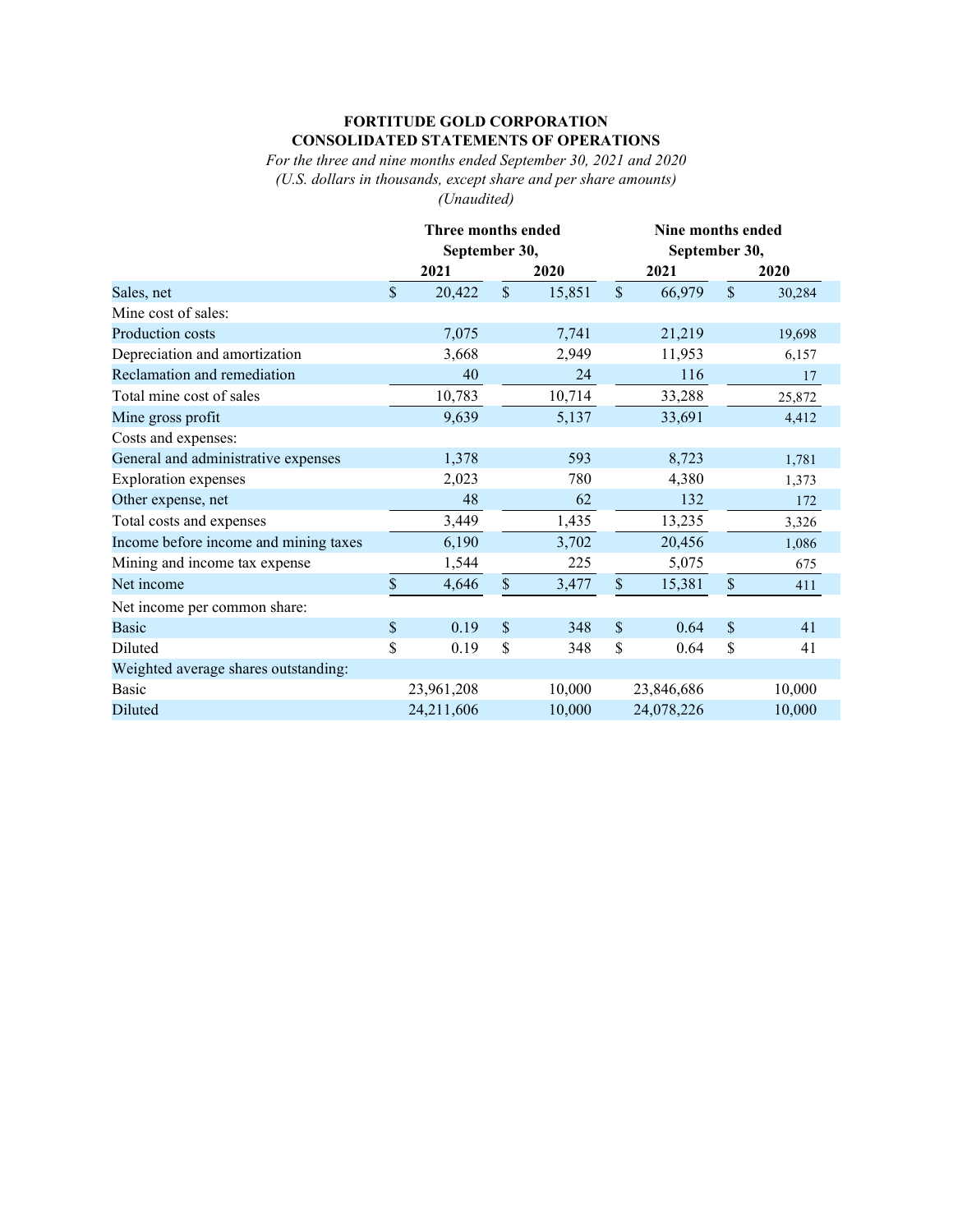#### **FORTITUDE GOLD CORPORATION CONSOLIDATED STATEMENTS OF OPERATIONS**

*For the three and nine months ended September 30, 2021 and 2020 (U.S. dollars in thousands, except share and per share amounts) (Unaudited)*

|                                       | Three months ended<br>September 30, |            |                           |        |               | Nine months ended<br>September 30, |               |        |  |  |
|---------------------------------------|-------------------------------------|------------|---------------------------|--------|---------------|------------------------------------|---------------|--------|--|--|
|                                       | 2021                                |            | 2020                      |        | 2021          |                                    |               | 2020   |  |  |
| Sales, net                            |                                     | 20,422     | $\mathcal{S}$             | 15,851 | $\mathcal{S}$ | 66,979                             | $\mathcal{S}$ | 30,284 |  |  |
| Mine cost of sales:                   |                                     |            |                           |        |               |                                    |               |        |  |  |
| Production costs                      |                                     | 7,075      |                           | 7,741  |               | 21,219                             |               | 19,698 |  |  |
| Depreciation and amortization         |                                     | 3,668      |                           | 2,949  |               | 11,953                             |               | 6,157  |  |  |
| Reclamation and remediation           |                                     | 40         |                           | 24     |               | 116                                |               | 17     |  |  |
| Total mine cost of sales              |                                     | 10,783     |                           | 10,714 |               | 33,288                             |               | 25,872 |  |  |
| Mine gross profit                     |                                     | 9,639      |                           | 5,137  |               | 33,691                             |               | 4,412  |  |  |
| Costs and expenses:                   |                                     |            |                           |        |               |                                    |               |        |  |  |
| General and administrative expenses   |                                     | 1,378      |                           | 593    |               | 8,723                              |               | 1,781  |  |  |
| <b>Exploration</b> expenses           |                                     | 2,023      |                           | 780    |               | 4,380                              |               | 1,373  |  |  |
| Other expense, net                    |                                     | 48         |                           | 62     |               | 132                                |               | 172    |  |  |
| Total costs and expenses              |                                     | 3,449      |                           | 1,435  |               | 13,235                             |               | 3,326  |  |  |
| Income before income and mining taxes |                                     | 6,190      |                           | 3,702  |               | 20,456                             |               | 1,086  |  |  |
| Mining and income tax expense         |                                     | 1,544      |                           | 225    |               | 5,075                              |               | 675    |  |  |
| Net income                            | $\mathbb{S}$                        | 4,646      | $\boldsymbol{\mathsf{S}}$ | 3,477  | $\$$          | 15,381                             | $\$$          | 411    |  |  |
| Net income per common share:          |                                     |            |                           |        |               |                                    |               |        |  |  |
| <b>Basic</b>                          | \$                                  | 0.19       | \$                        | 348    | \$            | 0.64                               | $\mathbb{S}$  | 41     |  |  |
| Diluted                               | \$                                  | 0.19       | \$                        | 348    | \$            | 0.64                               | \$            | 41     |  |  |
| Weighted average shares outstanding:  |                                     |            |                           |        |               |                                    |               |        |  |  |
| Basic                                 |                                     | 23,961,208 |                           | 10,000 |               | 23,846,686                         |               | 10,000 |  |  |
| Diluted                               |                                     | 24,211,606 |                           | 10,000 |               | 24,078,226                         |               | 10,000 |  |  |
|                                       |                                     |            |                           |        |               |                                    |               |        |  |  |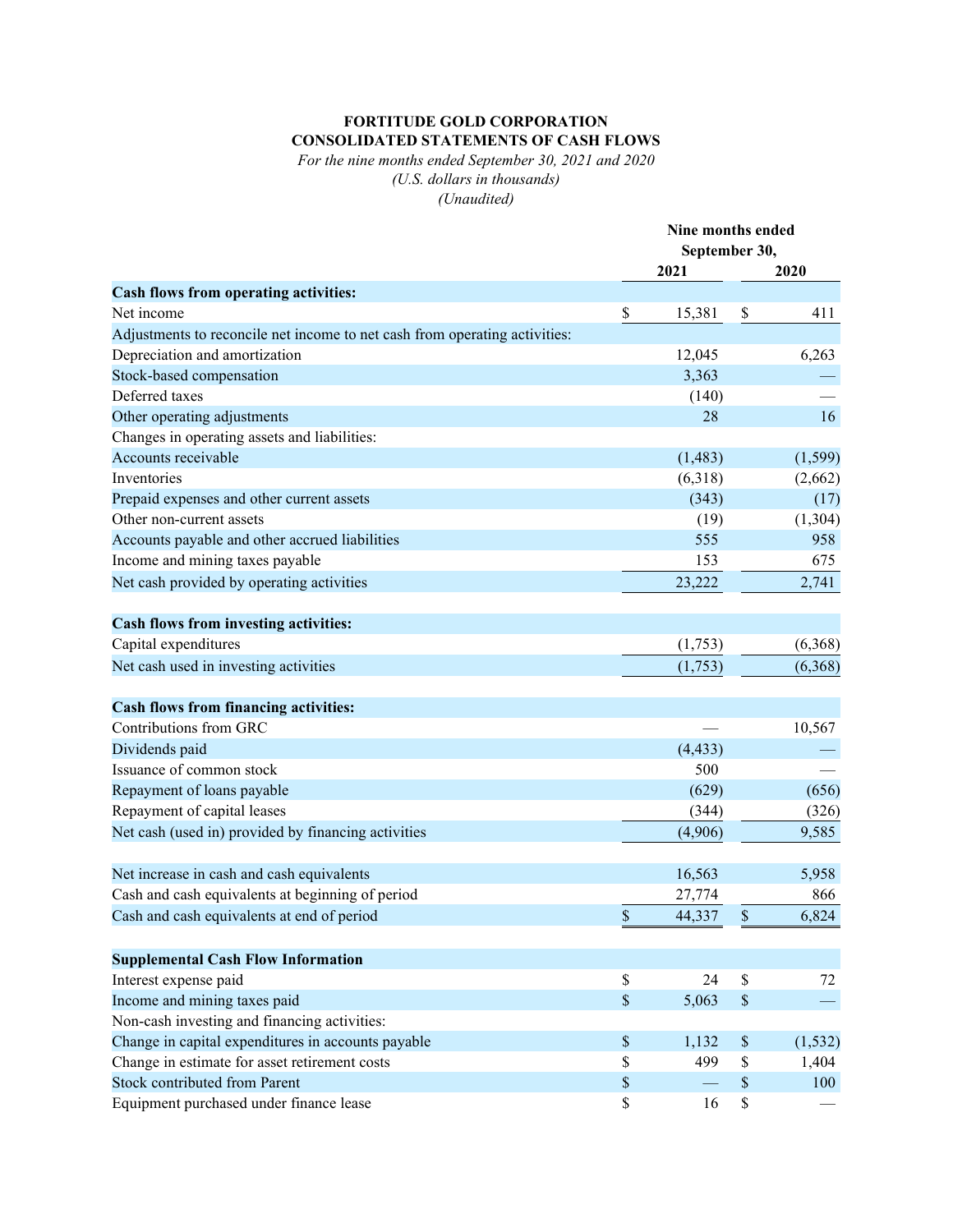### **FORTITUDE GOLD CORPORATION CONSOLIDATED STATEMENTS OF CASH FLOWS**

*For the nine months ended September 30, 2021 and 2020 (U.S. dollars in thousands) (Unaudited)*

|                                                                            | Nine months ended |          |                           |          |
|----------------------------------------------------------------------------|-------------------|----------|---------------------------|----------|
|                                                                            | September 30,     |          |                           |          |
|                                                                            |                   | 2021     |                           | 2020     |
| Cash flows from operating activities:                                      |                   |          |                           |          |
| Net income                                                                 | \$                | 15,381   | \$                        | 411      |
| Adjustments to reconcile net income to net cash from operating activities: |                   |          |                           |          |
| Depreciation and amortization                                              |                   | 12,045   |                           | 6,263    |
| Stock-based compensation                                                   |                   | 3,363    |                           |          |
| Deferred taxes                                                             |                   | (140)    |                           |          |
| Other operating adjustments                                                |                   | 28       |                           | 16       |
| Changes in operating assets and liabilities:                               |                   |          |                           |          |
| Accounts receivable                                                        |                   | (1,483)  |                           | (1, 599) |
| Inventories                                                                |                   | (6,318)  |                           | (2,662)  |
| Prepaid expenses and other current assets                                  |                   | (343)    |                           | (17)     |
| Other non-current assets                                                   |                   | (19)     |                           | (1,304)  |
| Accounts payable and other accrued liabilities                             |                   | 555      |                           | 958      |
| Income and mining taxes payable                                            |                   | 153      |                           | 675      |
| Net cash provided by operating activities                                  |                   | 23,222   |                           | 2,741    |
|                                                                            |                   |          |                           |          |
| Cash flows from investing activities:                                      |                   |          |                           |          |
| Capital expenditures                                                       |                   | (1,753)  |                           | (6,368)  |
| Net cash used in investing activities                                      |                   | (1,753)  |                           | (6,368)  |
|                                                                            |                   |          |                           |          |
| <b>Cash flows from financing activities:</b>                               |                   |          |                           |          |
| Contributions from GRC                                                     |                   |          |                           | 10,567   |
| Dividends paid                                                             |                   | (4, 433) |                           |          |
| Issuance of common stock                                                   |                   | 500      |                           |          |
| Repayment of loans payable                                                 |                   | (629)    |                           | (656)    |
| Repayment of capital leases                                                |                   | (344)    |                           | (326)    |
| Net cash (used in) provided by financing activities                        |                   | (4,906)  |                           | 9,585    |
|                                                                            |                   |          |                           |          |
| Net increase in cash and cash equivalents                                  |                   | 16,563   |                           | 5,958    |
| Cash and cash equivalents at beginning of period                           |                   | 27,774   |                           | 866      |
| Cash and cash equivalents at end of period                                 | \$                | 44,337   | \$                        | 6,824    |
|                                                                            |                   |          |                           |          |
| <b>Supplemental Cash Flow Information</b>                                  |                   |          |                           |          |
| Interest expense paid                                                      | \$                | 24       | $\mathbb{S}$              | 72       |
| Income and mining taxes paid                                               | $\mathbb S$       | 5,063    | $\$$                      |          |
| Non-cash investing and financing activities:                               |                   |          |                           |          |
| Change in capital expenditures in accounts payable                         | \$                | 1,132    | $\boldsymbol{\mathsf{S}}$ | (1, 532) |
| Change in estimate for asset retirement costs                              | \$                | 499      | \$                        | 1,404    |
| <b>Stock contributed from Parent</b>                                       | \$                |          | \$                        | 100      |
| Equipment purchased under finance lease                                    | \$                | 16       | \$                        |          |
|                                                                            |                   |          |                           |          |